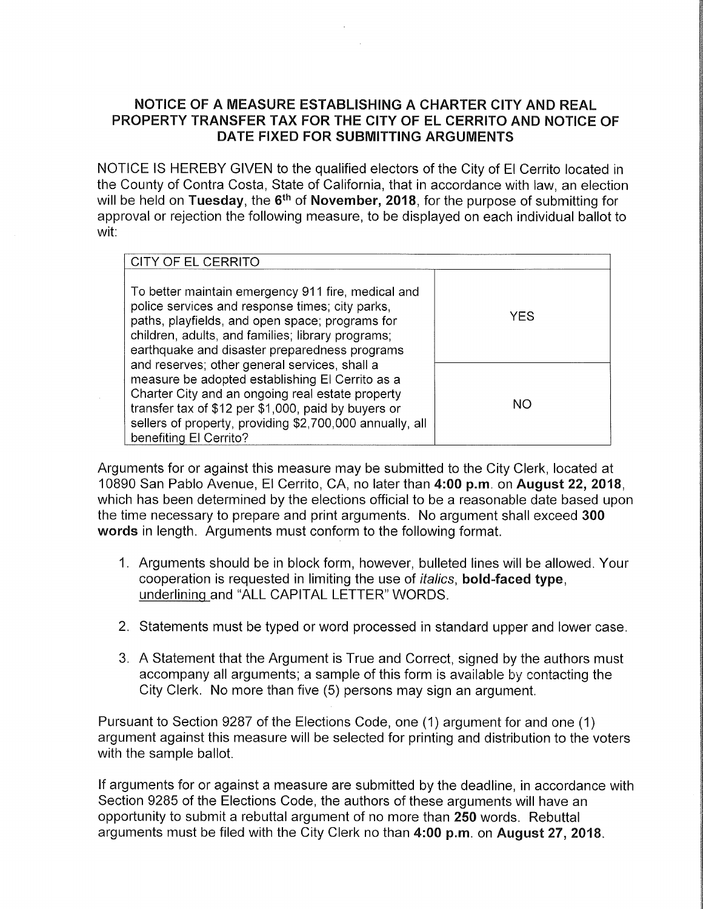## **NOTICE OF A MEASURE ESTABLISHING A CHARTER CITY AND REAL PROPERTY TRANSFER TAX FOR THE CITY OF EL CERRITO AND NOTICE OF DATE FIXED FOR SUBMITTING ARGUMENTS**

NOTICE IS HEREBY GIVEN to the qualified electors of the City of El Cerrito located in the County of Contra Costa, State of California, that in accordance with law, an election will be held on **Tuesday,** the 6th of **November, 2018,** for the purpose of submitting for approval or rejection the following measure, to be displayed on each individual ballot to wit:

| CITY OF EL CERRITO                                                                                                                                                                                                                                                                                |           |
|---------------------------------------------------------------------------------------------------------------------------------------------------------------------------------------------------------------------------------------------------------------------------------------------------|-----------|
| To better maintain emergency 911 fire, medical and<br>police services and response times; city parks,<br>paths, playfields, and open space; programs for<br>children, adults, and families; library programs;<br>earthquake and disaster preparedness programs                                    | YES       |
| and reserves; other general services, shall a<br>measure be adopted establishing El Cerrito as a<br>Charter City and an ongoing real estate property<br>transfer tax of \$12 per \$1,000, paid by buyers or<br>sellers of property, providing \$2,700,000 annually, all<br>benefiting El Cerrito? | <b>NO</b> |

Arguments for or against this measure may be submitted to the City Clerk, located at 10890 San Pablo Avenue, El Cerrito, CA, no later than **4:00 p.m.** on **August 22, 2018,**  which has been determined by the elections official to be a reasonable date based upon the time necessary to prepare and print arguments. No argument shall exceed **300 words** in length. Arguments must conform to the following format.

- 1. Arguments should be in block form, however, bulleted lines will be allowed. Your cooperation is requested in limiting the use of italics, **bold-faced type,**  underlining and "ALL CAPITAL LETTER" WORDS.
- 2. Statements must be typed or word processed in standard upper and lower case.
- 3. A Statement that the Argument is True and Correct, signed by the authors must accompany all arguments; a sample of this form is available by contacting the City Clerk. No more than five (5) persons may sign an argument.

Pursuant to Section 9287 of the Elections Code, one (1) argument for and one (1) argument against this measure will be selected for printing and distribution to the voters with the sample ballot.

If arguments for or against a measure are submitted by the deadline, in accordance with Section 9285 of the Elections Code, the authors of these arguments will have an opportunity to submit a rebuttal argument of no more than 250 words. Rebuttal arguments must be filed with the City Clerk no than **4:00 p.m.** on **August 27, 2018.**